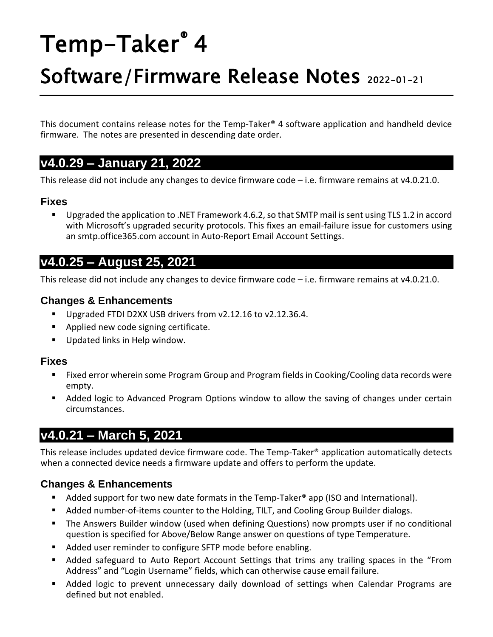# Temp-Taker® 4

## Software/Firmware Release Notes 2022-01-21

This document contains release notes for the Temp-Taker® 4 software application and handheld device firmware. The notes are presented in descending date order.

## **v4.0.29 – January 21, 2022**

This release did not include any changes to device firmware code – i.e. firmware remains at v4.0.21.0.

#### **Fixes**

▪ Upgraded the application to .NET Framework 4.6.2, so that SMTP mail is sent using TLS 1.2 in accord with Microsoft's upgraded security protocols. This fixes an email-failure issue for customers using an smtp.office365.com account in Auto-Report Email Account Settings.

## **v4.0.25 – August 25, 2021**

This release did not include any changes to device firmware code – i.e. firmware remains at v4.0.21.0.

## **Changes & Enhancements**

- Upgraded FTDI D2XX USB drivers from v2.12.16 to v2.12.36.4.
- Applied new code signing certificate.
- Updated links in Help window.

#### **Fixes**

- Fixed error wherein some Program Group and Program fields in Cooking/Cooling data records were empty.
- Added logic to Advanced Program Options window to allow the saving of changes under certain circumstances.

## **v4.0.21 – March 5, 2021**

This release includes updated device firmware code. The Temp-Taker® application automatically detects when a connected device needs a firmware update and offers to perform the update.

## **Changes & Enhancements**

- Added support for two new date formats in the Temp-Taker<sup>®</sup> app (ISO and International).
- Added number-of-items counter to the Holding, TILT, and Cooling Group Builder dialogs.
- **•** The Answers Builder window (used when defining Questions) now prompts user if no conditional question is specified for Above/Below Range answer on questions of type Temperature.
- Added user reminder to configure SFTP mode before enabling.
- **•** Added safeguard to Auto Report Account Settings that trims any trailing spaces in the "From Address" and "Login Username" fields, which can otherwise cause email failure.
- Added logic to prevent unnecessary daily download of settings when Calendar Programs are defined but not enabled.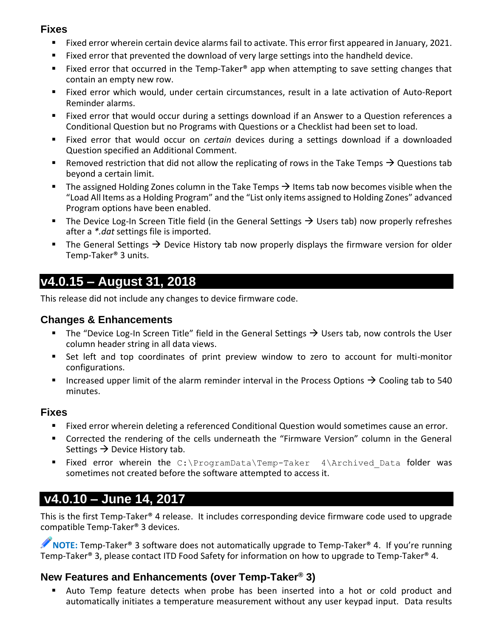- Fixed error wherein certain device alarms fail to activate. This error first appeared in January, 2021.
- Fixed error that prevented the download of very large settings into the handheld device.
- Fixed error that occurred in the Temp-Taker<sup>®</sup> app when attempting to save setting changes that contain an empty new row.
- Fixed error which would, under certain circumstances, result in a late activation of Auto-Report Reminder alarms.
- Fixed error that would occur during a settings download if an Answer to a Question references a Conditional Question but no Programs with Questions or a Checklist had been set to load.
- Fixed error that would occur on *certain* devices during a settings download if a downloaded Question specified an Additional Comment.
- **E** Removed restriction that did not allow the replicating of rows in the Take Temps  $\rightarrow$  Questions tab beyond a certain limit.
- The assigned Holding Zones column in the Take Temps  $\rightarrow$  Items tab now becomes visible when the "Load All Items as a Holding Program" and the "List only items assigned to Holding Zones" advanced Program options have been enabled.
- The Device Log-In Screen Title field (in the General Settings  $\rightarrow$  Users tab) now properly refreshes after a *\*.dat* settings file is imported.
- The General Settings  $\rightarrow$  Device History tab now properly displays the firmware version for older Temp-Taker® 3 units.

## **v4.0.15 – August 31, 2018**

This release did not include any changes to device firmware code.

## **Changes & Enhancements**

- The "Device Log-In Screen Title" field in the General Settings  $\rightarrow$  Users tab, now controls the User column header string in all data views.
- Set left and top coordinates of print preview window to zero to account for multi-monitor configurations.
- Increased upper limit of the alarm reminder interval in the Process Options  $\rightarrow$  Cooling tab to 540 minutes.

## **Fixes**

- Fixed error wherein deleting a referenced Conditional Question would sometimes cause an error.
- Corrected the rendering of the cells underneath the "Firmware Version" column in the General Settings  $\rightarrow$  Device History tab.
- **•** Fixed error wherein the  $C:\Per{\romData}\Temp-Taker$  4\Archived Data folder was sometimes not created before the software attempted to access it.

## **v4.0.10 – June 14, 2017**

This is the first Temp-Taker® 4 release. It includes corresponding device firmware code used to upgrade compatible Temp-Taker® 3 devices.

**NOTE:** Temp-Taker® 3 software does not automatically upgrade to Temp-Taker® 4. If you're running Temp-Taker® 3, please contact ITD Food Safety for information on how to upgrade to Temp-Taker® 4.

## **New Features and Enhancements (over Temp-Taker® 3)**

■ Auto Temp feature detects when probe has been inserted into a hot or cold product and automatically initiates a temperature measurement without any user keypad input. Data results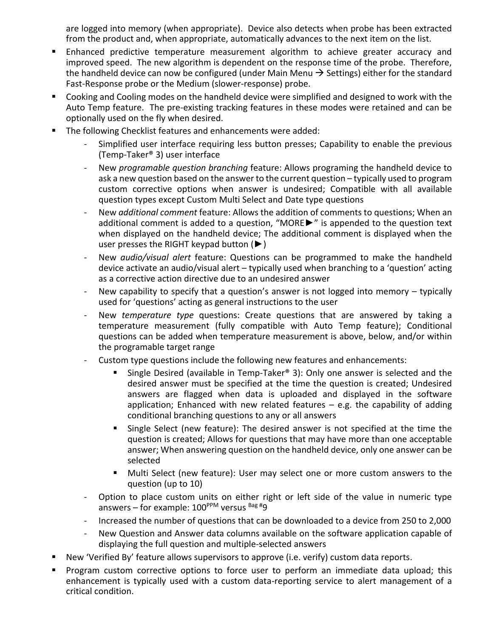are logged into memory (when appropriate). Device also detects when probe has been extracted from the product and, when appropriate, automatically advances to the next item on the list.

- Enhanced predictive temperature measurement algorithm to achieve greater accuracy and improved speed. The new algorithm is dependent on the response time of the probe. Therefore, the handheld device can now be configured (under Main Menu  $\rightarrow$  Settings) either for the standard Fast-Response probe or the Medium (slower-response) probe.
- Cooking and Cooling modes on the handheld device were simplified and designed to work with the Auto Temp feature. The pre-existing tracking features in these modes were retained and can be optionally used on the fly when desired.
- The following Checklist features and enhancements were added:
	- Simplified user interface requiring less button presses; Capability to enable the previous (Temp-Taker® 3) user interface
	- New *programable question branching* feature: Allows programing the handheld device to ask a new question based on the answer to the current question – typically used to program custom corrective options when answer is undesired; Compatible with all available question types except Custom Multi Select and Date type questions
	- New *additional comment* feature: Allows the addition of comments to questions; When an additional comment is added to a question, "MORE►" is appended to the question text when displayed on the handheld device; The additional comment is displayed when the user presses the RIGHT keypad button (►)
	- New *audio/visual alert* feature: Questions can be programmed to make the handheld device activate an audio/visual alert – typically used when branching to a 'question' acting as a corrective action directive due to an undesired answer
	- New capability to specify that a question's answer is not logged into memory  $-$  typically used for 'questions' acting as general instructions to the user
	- New *temperature type* questions: Create questions that are answered by taking a temperature measurement (fully compatible with Auto Temp feature); Conditional questions can be added when temperature measurement is above, below, and/or within the programable target range
	- Custom type questions include the following new features and enhancements:
		- Single Desired (available in Temp-Taker<sup>®</sup> 3): Only one answer is selected and the desired answer must be specified at the time the question is created; Undesired answers are flagged when data is uploaded and displayed in the software application; Enhanced with new related features – e.g. the capability of adding conditional branching questions to any or all answers
		- Single Select (new feature): The desired answer is not specified at the time the question is created; Allows for questions that may have more than one acceptable answer; When answering question on the handheld device, only one answer can be selected
		- Multi Select (new feature): User may select one or more custom answers to the question (up to 10)
	- Option to place custom units on either right or left side of the value in numeric type answers – for example:  $100^{PPM}$  versus  $^{Bag}$ #9
	- Increased the number of questions that can be downloaded to a device from 250 to 2,000
	- New Question and Answer data columns available on the software application capable of displaying the full question and multiple-selected answers
- New 'Verified By' feature allows supervisors to approve (i.e. verify) custom data reports.
- Program custom corrective options to force user to perform an immediate data upload; this enhancement is typically used with a custom data-reporting service to alert management of a critical condition.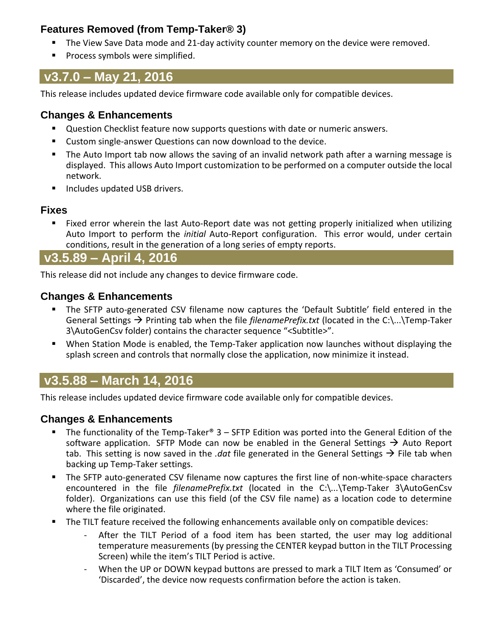## **Features Removed (from Temp-Taker® 3)**

- **The View Save Data mode and 21-day activity counter memory on the device were removed.**
- Process symbols were simplified.

## **v3.7.0 – May 21, 2016**

This release includes updated device firmware code available only for compatible devices.

## **Changes & Enhancements**

- Question Checklist feature now supports questions with date or numeric answers.
- Custom single-answer Questions can now download to the device.
- The Auto Import tab now allows the saving of an invalid network path after a warning message is displayed. This allows Auto Import customization to be performed on a computer outside the local network.
- Includes updated USB drivers.

#### **Fixes**

■ Fixed error wherein the last Auto-Report date was not getting properly initialized when utilizing Auto Import to perform the *initial* Auto-Report configuration. This error would, under certain conditions, result in the generation of a long series of empty reports.

**v3.5.89 – April 4, 2016**

This release did not include any changes to device firmware code.

### **Changes & Enhancements**

- The SFTP auto-generated CSV filename now captures the 'Default Subtitle' field entered in the General Settings → Printing tab when the file *filenamePrefix.txt* (located in the C:\...\Temp-Taker 3\AutoGenCsv folder) contains the character sequence "<Subtitle>".
- When Station Mode is enabled, the Temp-Taker application now launches without displaying the splash screen and controls that normally close the application, now minimize it instead.

## **v3.5.88 – March 14, 2016**

This release includes updated device firmware code available only for compatible devices.

### **Changes & Enhancements**

- The functionality of the Temp-Taker® 3 SFTP Edition was ported into the General Edition of the software application. SFTP Mode can now be enabled in the General Settings  $\rightarrow$  Auto Report tab. This setting is now saved in the *.dat* file generated in the General Settings  $\rightarrow$  File tab when backing up Temp-Taker settings.
- The SFTP auto-generated CSV filename now captures the first line of non-white-space characters encountered in the file *filenamePrefix.txt* (located in the C:\...\Temp-Taker 3\AutoGenCsv folder). Organizations can use this field (of the CSV file name) as a location code to determine where the file originated.
- **The TILT feature received the following enhancements available only on compatible devices:** 
	- After the TILT Period of a food item has been started, the user may log additional temperature measurements (by pressing the CENTER keypad button in the TILT Processing Screen) while the item's TILT Period is active.
	- When the UP or DOWN keypad buttons are pressed to mark a TILT Item as 'Consumed' or 'Discarded', the device now requests confirmation before the action is taken.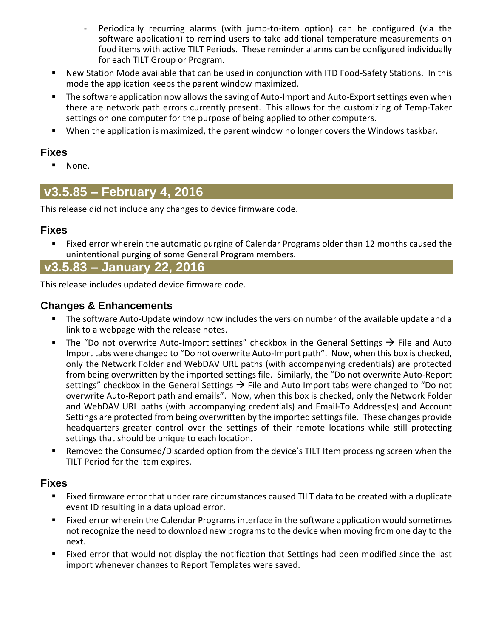- Periodically recurring alarms (with jump-to-item option) can be configured (via the software application) to remind users to take additional temperature measurements on food items with active TILT Periods. These reminder alarms can be configured individually for each TILT Group or Program.
- New Station Mode available that can be used in conjunction with ITD Food-Safety Stations. In this mode the application keeps the parent window maximized.
- The software application now allows the saving of Auto-Import and Auto-Export settings even when there are network path errors currently present. This allows for the customizing of Temp-Taker settings on one computer for the purpose of being applied to other computers.
- When the application is maximized, the parent window no longer covers the Windows taskbar.

■ None.

## **v3.5.85 – February 4, 2016**

This release did not include any changes to device firmware code.

## **Fixes**

■ Fixed error wherein the automatic purging of Calendar Programs older than 12 months caused the unintentional purging of some General Program members.

## **v3.5.83 – January 22, 2016**

This release includes updated device firmware code.

## **Changes & Enhancements**

- The software Auto-Update window now includes the version number of the available update and a link to a webpage with the release notes.
- The "Do not overwrite Auto-Import settings" checkbox in the General Settings  $\rightarrow$  File and Auto Import tabs were changed to "Do not overwrite Auto-Import path". Now, when this box is checked, only the Network Folder and WebDAV URL paths (with accompanying credentials) are protected from being overwritten by the imported settings file. Similarly, the "Do not overwrite Auto-Report settings" checkbox in the General Settings  $\rightarrow$  File and Auto Import tabs were changed to "Do not overwrite Auto-Report path and emails". Now, when this box is checked, only the Network Folder and WebDAV URL paths (with accompanying credentials) and Email-To Address(es) and Account Settings are protected from being overwritten by the imported settings file. These changes provide headquarters greater control over the settings of their remote locations while still protecting settings that should be unique to each location.
- Removed the Consumed/Discarded option from the device's TILT Item processing screen when the TILT Period for the item expires.

- Fixed firmware error that under rare circumstances caused TILT data to be created with a duplicate event ID resulting in a data upload error.
- Fixed error wherein the Calendar Programs interface in the software application would sometimes not recognize the need to download new programs to the device when moving from one day to the next.
- Fixed error that would not display the notification that Settings had been modified since the last import whenever changes to Report Templates were saved.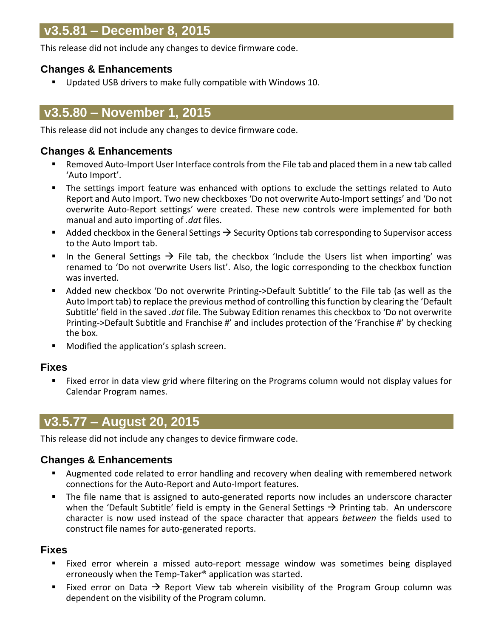## **v3.5.81 – December 8, 2015**

This release did not include any changes to device firmware code.

### **Changes & Enhancements**

■ Updated USB drivers to make fully compatible with Windows 10.

## **v3.5.80 – November 1, 2015**

This release did not include any changes to device firmware code.

#### **Changes & Enhancements**

- Removed Auto-Import User Interface controls from the File tab and placed them in a new tab called 'Auto Import'.
- The settings import feature was enhanced with options to exclude the settings related to Auto Report and Auto Import. Two new checkboxes 'Do not overwrite Auto-Import settings' and 'Do not overwrite Auto-Report settings' were created. These new controls were implemented for both manual and auto importing of *.dat* files.
- Added checkbox in the General Settings  $\rightarrow$  Security Options tab corresponding to Supervisor access to the Auto Import tab.
- In the General Settings  $\rightarrow$  File tab, the checkbox 'Include the Users list when importing' was renamed to 'Do not overwrite Users list'. Also, the logic corresponding to the checkbox function was inverted.
- Added new checkbox 'Do not overwrite Printing->Default Subtitle' to the File tab (as well as the Auto Import tab) to replace the previous method of controlling this function by clearing the 'Default Subtitle' field in the saved *.dat* file. The Subway Edition renames this checkbox to 'Do not overwrite Printing->Default Subtitle and Franchise #' and includes protection of the 'Franchise #' by checking the box.
- Modified the application's splash screen.

#### **Fixes**

■ Fixed error in data view grid where filtering on the Programs column would not display values for Calendar Program names.

## **v3.5.77 – August 20, 2015**

This release did not include any changes to device firmware code.

#### **Changes & Enhancements**

- Augmented code related to error handling and recovery when dealing with remembered network connections for the Auto-Report and Auto-Import features.
- The file name that is assigned to auto-generated reports now includes an underscore character when the 'Default Subtitle' field is empty in the General Settings  $\rightarrow$  Printing tab. An underscore character is now used instead of the space character that appears *between* the fields used to construct file names for auto-generated reports.

- Fixed error wherein a missed auto-report message window was sometimes being displayed erroneously when the Temp-Taker® application was started.
- Fixed error on Data  $\rightarrow$  Report View tab wherein visibility of the Program Group column was dependent on the visibility of the Program column.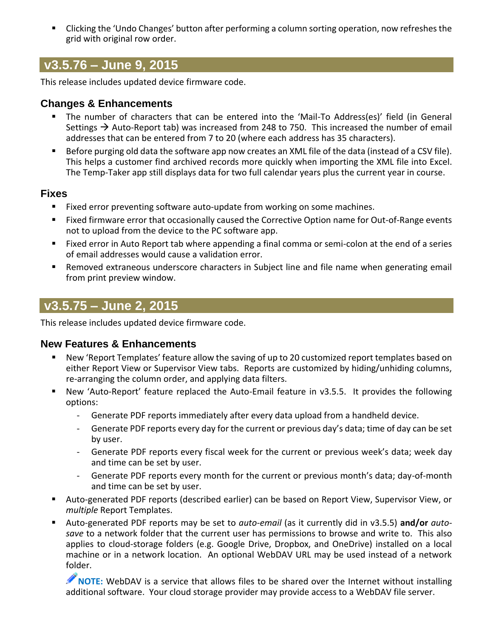■ Clicking the 'Undo Changes' button after performing a column sorting operation, now refreshes the grid with original row order.

## **v3.5.76 – June 9, 2015**

This release includes updated device firmware code.

#### **Changes & Enhancements**

- The number of characters that can be entered into the 'Mail-To Address(es)' field (in General Settings  $\rightarrow$  Auto-Report tab) was increased from 248 to 750. This increased the number of email addresses that can be entered from 7 to 20 (where each address has 35 characters).
- Before purging old data the software app now creates an XML file of the data (instead of a CSV file). This helps a customer find archived records more quickly when importing the XML file into Excel. The Temp-Taker app still displays data for two full calendar years plus the current year in course.

#### **Fixes**

- Fixed error preventing software auto-update from working on some machines.
- Fixed firmware error that occasionally caused the Corrective Option name for Out-of-Range events not to upload from the device to the PC software app.
- Fixed error in Auto Report tab where appending a final comma or semi-colon at the end of a series of email addresses would cause a validation error.
- Removed extraneous underscore characters in Subject line and file name when generating email from print preview window.

## **v3.5.75 – June 2, 2015**

This release includes updated device firmware code.

#### **New Features & Enhancements**

- New 'Report Templates' feature allow the saving of up to 20 customized report templates based on either Report View or Supervisor View tabs. Reports are customized by hiding/unhiding columns, re-arranging the column order, and applying data filters.
- New 'Auto-Report' feature replaced the Auto-Email feature in v3.5.5. It provides the following options:
	- Generate PDF reports immediately after every data upload from a handheld device.
	- Generate PDF reports every day for the current or previous day's data; time of day can be set by user.
	- Generate PDF reports every fiscal week for the current or previous week's data; week day and time can be set by user.
	- Generate PDF reports every month for the current or previous month's data; day-of-month and time can be set by user.
- Auto-generated PDF reports (described earlier) can be based on Report View, Supervisor View, or *multiple* Report Templates.
- Auto-generated PDF reports may be set to *auto-email* (as it currently did in v3.5.5) **and/or** *autosave* to a network folder that the current user has permissions to browse and write to. This also applies to cloud-storage folders (e.g. Google Drive, Dropbox, and OneDrive) installed on a local machine or in a network location. An optional WebDAV URL may be used instead of a network folder.

**NOTE:** WebDAV is a service that allows files to be shared over the Internet without installing additional software. Your cloud storage provider may provide access to a WebDAV file server.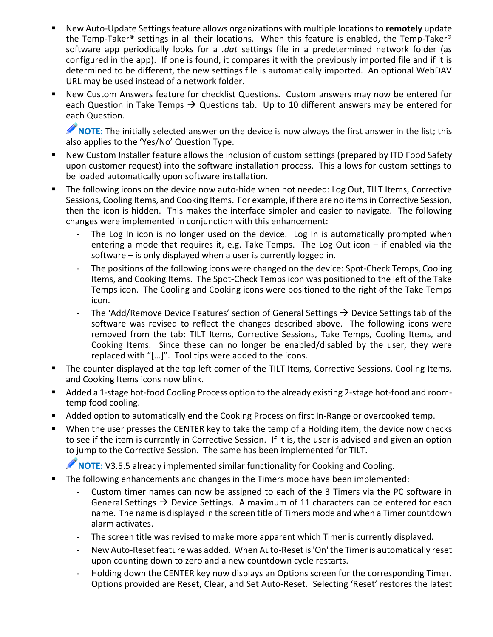- New Auto-Update Settings feature allows organizations with multiple locations to **remotely** update the Temp-Taker® settings in all their locations. When this feature is enabled, the Temp-Taker® software app periodically looks for a *.dat* settings file in a predetermined network folder (as configured in the app). If one is found, it compares it with the previously imported file and if it is determined to be different, the new settings file is automatically imported. An optional WebDAV URL may be used instead of a network folder.
- New Custom Answers feature for checklist Questions. Custom answers may now be entered for each Question in Take Temps  $\rightarrow$  Questions tab. Up to 10 different answers may be entered for each Question.

**NOTE:** The initially selected answer on the device is now always the first answer in the list; this also applies to the 'Yes/No' Question Type.

- New Custom Installer feature allows the inclusion of custom settings (prepared by ITD Food Safety upon customer request) into the software installation process. This allows for custom settings to be loaded automatically upon software installation.
- The following icons on the device now auto-hide when not needed: Log Out, TILT Items, Corrective Sessions, Cooling Items, and Cooking Items. For example, if there are no items in Corrective Session, then the icon is hidden. This makes the interface simpler and easier to navigate. The following changes were implemented in conjunction with this enhancement:
	- The Log In icon is no longer used on the device. Log In is automatically prompted when entering a mode that requires it, e.g. Take Temps. The Log Out icon – if enabled via the software – is only displayed when a user is currently logged in.
	- The positions of the following icons were changed on the device: Spot-Check Temps, Cooling Items, and Cooking Items. The Spot-Check Temps icon was positioned to the left of the Take Temps icon. The Cooling and Cooking icons were positioned to the right of the Take Temps icon.
	- The 'Add/Remove Device Features' section of General Settings  $\rightarrow$  Device Settings tab of the software was revised to reflect the changes described above. The following icons were removed from the tab: TILT Items, Corrective Sessions, Take Temps, Cooling Items, and Cooking Items. Since these can no longer be enabled/disabled by the user, they were replaced with "[…]". Tool tips were added to the icons.
- The counter displayed at the top left corner of the TILT Items, Corrective Sessions, Cooling Items, and Cooking Items icons now blink.
- Added a 1-stage hot-food Cooling Process option to the already existing 2-stage hot-food and roomtemp food cooling.
- Added option to automatically end the Cooking Process on first In-Range or overcooked temp.
- When the user presses the CENTER key to take the temp of a Holding item, the device now checks to see if the item is currently in Corrective Session. If it is, the user is advised and given an option to jump to the Corrective Session. The same has been implemented for TILT.

**NOTE:** V3.5.5 already implemented similar functionality for Cooking and Cooling.

- The following enhancements and changes in the Timers mode have been implemented:
	- Custom timer names can now be assigned to each of the 3 Timers via the PC software in General Settings  $\rightarrow$  Device Settings. A maximum of 11 characters can be entered for each name. The name is displayed in the screen title of Timers mode and when a Timer countdown alarm activates.
	- The screen title was revised to make more apparent which Timer is currently displayed.
	- New Auto-Reset feature was added. When Auto-Reset is 'On' the Timer is automatically reset upon counting down to zero and a new countdown cycle restarts.
	- Holding down the CENTER key now displays an Options screen for the corresponding Timer. Options provided are Reset, Clear, and Set Auto-Reset. Selecting 'Reset' restores the latest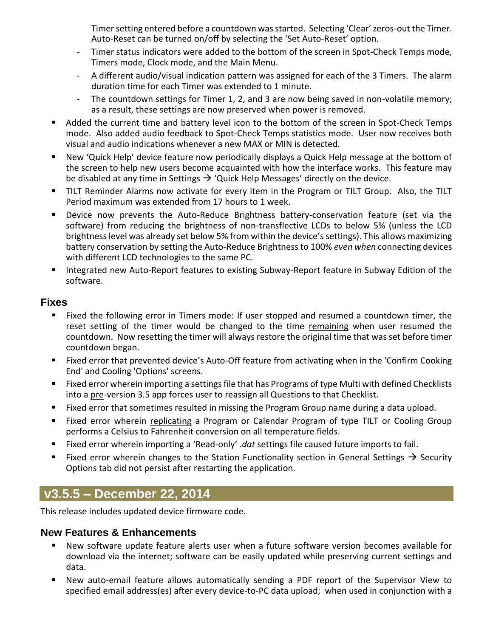Timer setting entered before a countdown was started. Selecting 'Clear' zeros-out the Timer. Auto-Reset can be turned on/off by selecting the 'Set Auto-Reset' option.

- Timer status indicators were added to the bottom of the screen in Spot-Check Temps mode, Timers mode, Clock mode, and the Main Menu.
- A different audio/visual indication pattern was assigned for each of the 3 Timers. The alarm duration time for each Timer was extended to 1 minute.
- The countdown settings for Timer 1, 2, and 3 are now being saved in non-volatile memory; as a result, these settings are now preserved when power is removed.
- Added the current time and battery level icon to the bottom of the screen in Spot-Check Temps mode. Also added audio feedback to Spot-Check Temps statistics mode. User now receives both visual and audio indications whenever a new MAX or MIN is detected.
- New 'Quick Help' device feature now periodically displays a Quick Help message at the bottom of the screen to help new users become acquainted with how the interface works. This feature may be disabled at any time in Settings  $\rightarrow$  'Quick Help Messages' directly on the device.
- **E** TILT Reminder Alarms now activate for every item in the Program or TILT Group. Also, the TILT Period maximum was extended from 17 hours to 1 week.
- Device now prevents the Auto-Reduce Brightness battery-conservation feature (set via the software) from reducing the brightness of non-transflective LCDs to below 5% (unless the LCD brightness level was already set below 5% from within the device's settings). This allows maximizing battery conservation by setting the Auto-Reduce Brightness to 100% *even when* connecting devices with different LCD technologies to the same PC.
- Integrated new Auto-Report features to existing Subway-Report feature in Subway Edition of the software.

### **Fixes**

- Fixed the following error in Timers mode: If user stopped and resumed a countdown timer, the reset setting of the timer would be changed to the time remaining when user resumed the countdown. Now resetting the timer will always restore the original time that was set before timer countdown began.
- Fixed error that prevented device's Auto-Off feature from activating when in the 'Confirm Cooking End' and Cooling 'Options' screens.
- Fixed error wherein importing a settings file that has Programs of type Multi with defined Checklists into a pre-version 3.5 app forces user to reassign all Questions to that Checklist.
- Fixed error that sometimes resulted in missing the Program Group name during a data upload.
- Fixed error wherein replicating a Program or Calendar Program of type TILT or Cooling Group performs a Celsius to Fahrenheit conversion on all temperature fields.
- Fixed error wherein importing a 'Read-only' *.dat* settings file caused future imports to fail.
- Fixed error wherein changes to the Station Functionality section in General Settings  $\rightarrow$  Security Options tab did not persist after restarting the application.

## **v3.5.5 – December 22, 2014**

This release includes updated device firmware code.

### **New Features & Enhancements**

- New software update feature alerts user when a future software version becomes available for download via the internet; software can be easily updated while preserving current settings and data.
- New auto-email feature allows automatically sending a PDF report of the Supervisor View to specified email address(es) after every device-to-PC data upload; when used in conjunction with a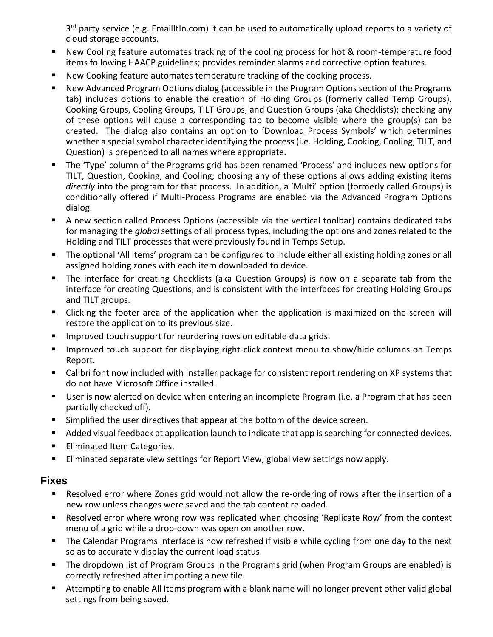3<sup>rd</sup> party service (e.g. EmailItIn.com) it can be used to automatically upload reports to a variety of cloud storage accounts.

- New Cooling feature automates tracking of the cooling process for hot & room-temperature food items following HAACP guidelines; provides reminder alarms and corrective option features.
- New Cooking feature automates temperature tracking of the cooking process.
- New Advanced Program Options dialog (accessible in the Program Options section of the Programs tab) includes options to enable the creation of Holding Groups (formerly called Temp Groups), Cooking Groups, Cooling Groups, TILT Groups, and Question Groups (aka Checklists); checking any of these options will cause a corresponding tab to become visible where the group(s) can be created. The dialog also contains an option to 'Download Process Symbols' which determines whether a special symbol character identifying the process (i.e. Holding, Cooking, Cooling, TILT, and Question) is prepended to all names where appropriate.
- The 'Type' column of the Programs grid has been renamed 'Process' and includes new options for TILT, Question, Cooking, and Cooling; choosing any of these options allows adding existing items *directly* into the program for that process. In addition, a 'Multi' option (formerly called Groups) is conditionally offered if Multi-Process Programs are enabled via the Advanced Program Options dialog.
- A new section called Process Options (accessible via the vertical toolbar) contains dedicated tabs for managing the *global* settings of all process types, including the options and zones related to the Holding and TILT processes that were previously found in Temps Setup.
- The optional 'All Items' program can be configured to include either all existing holding zones or all assigned holding zones with each item downloaded to device.
- The interface for creating Checklists (aka Question Groups) is now on a separate tab from the interface for creating Questions, and is consistent with the interfaces for creating Holding Groups and TILT groups.
- Clicking the footer area of the application when the application is maximized on the screen will restore the application to its previous size.
- Improved touch support for reordering rows on editable data grids.
- **■** Improved touch support for displaying right-click context menu to show/hide columns on Temps Report.
- Calibri font now included with installer package for consistent report rendering on XP systems that do not have Microsoft Office installed.
- User is now alerted on device when entering an incomplete Program (i.e. a Program that has been partially checked off).
- Simplified the user directives that appear at the bottom of the device screen.
- Added visual feedback at application launch to indicate that app is searching for connected devices.
- **Eliminated Item Categories.**
- Eliminated separate view settings for Report View; global view settings now apply.

- Resolved error where Zones grid would not allow the re-ordering of rows after the insertion of a new row unless changes were saved and the tab content reloaded.
- Resolved error where wrong row was replicated when choosing 'Replicate Row' from the context menu of a grid while a drop-down was open on another row.
- The Calendar Programs interface is now refreshed if visible while cycling from one day to the next so as to accurately display the current load status.
- The dropdown list of Program Groups in the Programs grid (when Program Groups are enabled) is correctly refreshed after importing a new file.
- Attempting to enable All Items program with a blank name will no longer prevent other valid global settings from being saved.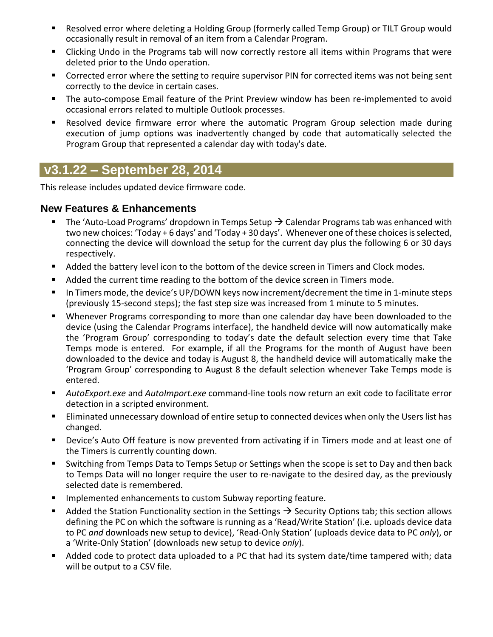- Resolved error where deleting a Holding Group (formerly called Temp Group) or TILT Group would occasionally result in removal of an item from a Calendar Program.
- Clicking Undo in the Programs tab will now correctly restore all items within Programs that were deleted prior to the Undo operation.
- Corrected error where the setting to require supervisor PIN for corrected items was not being sent correctly to the device in certain cases.
- The auto-compose Email feature of the Print Preview window has been re-implemented to avoid occasional errors related to multiple Outlook processes.
- Resolved device firmware error where the automatic Program Group selection made during execution of jump options was inadvertently changed by code that automatically selected the Program Group that represented a calendar day with today's date.

## **v3.1.22 – September 28, 2014**

This release includes updated device firmware code.

### **New Features & Enhancements**

- The 'Auto-Load Programs' dropdown in Temps Setup  $\rightarrow$  Calendar Programs tab was enhanced with two new choices: 'Today + 6 days' and 'Today + 30 days'. Whenever one of these choices is selected, connecting the device will download the setup for the current day plus the following 6 or 30 days respectively.
- Added the battery level icon to the bottom of the device screen in Timers and Clock modes.
- Added the current time reading to the bottom of the device screen in Timers mode.
- In Timers mode, the device's UP/DOWN keys now increment/decrement the time in 1-minute steps (previously 15-second steps); the fast step size was increased from 1 minute to 5 minutes.
- Whenever Programs corresponding to more than one calendar day have been downloaded to the device (using the Calendar Programs interface), the handheld device will now automatically make the 'Program Group' corresponding to today's date the default selection every time that Take Temps mode is entered. For example, if all the Programs for the month of August have been downloaded to the device and today is August 8, the handheld device will automatically make the 'Program Group' corresponding to August 8 the default selection whenever Take Temps mode is entered.
- AutoExport.exe and AutoImport.exe command-line tools now return an exit code to facilitate error detection in a scripted environment.
- Eliminated unnecessary download of entire setup to connected devices when only the Users list has changed.
- Device's Auto Off feature is now prevented from activating if in Timers mode and at least one of the Timers is currently counting down.
- Switching from Temps Data to Temps Setup or Settings when the scope is set to Day and then back to Temps Data will no longer require the user to re-navigate to the desired day, as the previously selected date is remembered.
- Implemented enhancements to custom Subway reporting feature.
- Added the Station Functionality section in the Settings  $\rightarrow$  Security Options tab; this section allows defining the PC on which the software is running as a 'Read/Write Station' (i.e. uploads device data to PC *and* downloads new setup to device), 'Read-Only Station' (uploads device data to PC *only*), or a 'Write-Only Station' (downloads new setup to device *only*).
- Added code to protect data uploaded to a PC that had its system date/time tampered with; data will be output to a CSV file.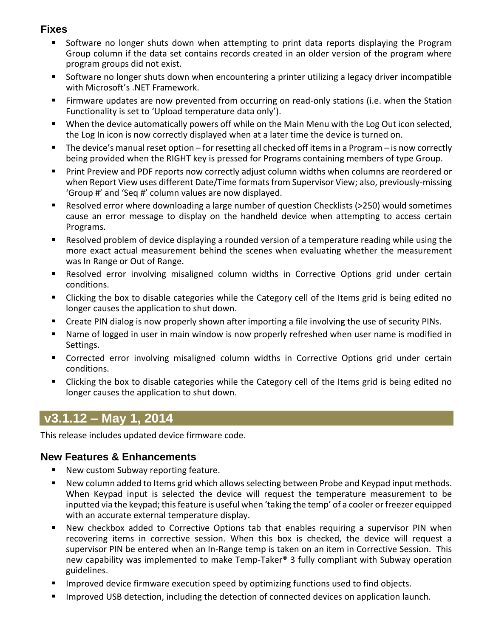- Software no longer shuts down when attempting to print data reports displaying the Program Group column if the data set contains records created in an older version of the program where program groups did not exist.
- Software no longer shuts down when encountering a printer utilizing a legacy driver incompatible with Microsoft's .NET Framework.
- Firmware updates are now prevented from occurring on read-only stations (i.e. when the Station Functionality is set to 'Upload temperature data only').
- When the device automatically powers off while on the Main Menu with the Log Out icon selected, the Log In icon is now correctly displayed when at a later time the device is turned on.
- The device's manual reset option for resetting all checked off items in a Program is now correctly being provided when the RIGHT key is pressed for Programs containing members of type Group.
- Print Preview and PDF reports now correctly adjust column widths when columns are reordered or when Report View uses different Date/Time formats from Supervisor View; also, previously-missing 'Group #' and 'Seq #' column values are now displayed.
- Resolved error where downloading a large number of question Checklists (>250) would sometimes cause an error message to display on the handheld device when attempting to access certain Programs.
- Resolved problem of device displaying a rounded version of a temperature reading while using the more exact actual measurement behind the scenes when evaluating whether the measurement was In Range or Out of Range.
- Resolved error involving misaligned column widths in Corrective Options grid under certain conditions.
- **E** Clicking the box to disable categories while the Category cell of the Items grid is being edited no longer causes the application to shut down.
- Create PIN dialog is now properly shown after importing a file involving the use of security PINs.
- Name of logged in user in main window is now properly refreshed when user name is modified in Settings.
- Corrected error involving misaligned column widths in Corrective Options grid under certain conditions.
- **E** Clicking the box to disable categories while the Category cell of the Items grid is being edited no longer causes the application to shut down.

## **v3.1.12 – May 1, 2014**

This release includes updated device firmware code.

## **New Features & Enhancements**

- New custom Subway reporting feature.
- New column added to Items grid which allows selecting between Probe and Keypad input methods. When Keypad input is selected the device will request the temperature measurement to be inputted via the keypad; this feature is useful when 'taking the temp' of a cooler or freezer equipped with an accurate external temperature display.
- New checkbox added to Corrective Options tab that enables requiring a supervisor PIN when recovering items in corrective session. When this box is checked, the device will request a supervisor PIN be entered when an In-Range temp is taken on an item in Corrective Session. This new capability was implemented to make Temp-Taker® 3 fully compliant with Subway operation guidelines.
- Improved device firmware execution speed by optimizing functions used to find objects.
- Improved USB detection, including the detection of connected devices on application launch.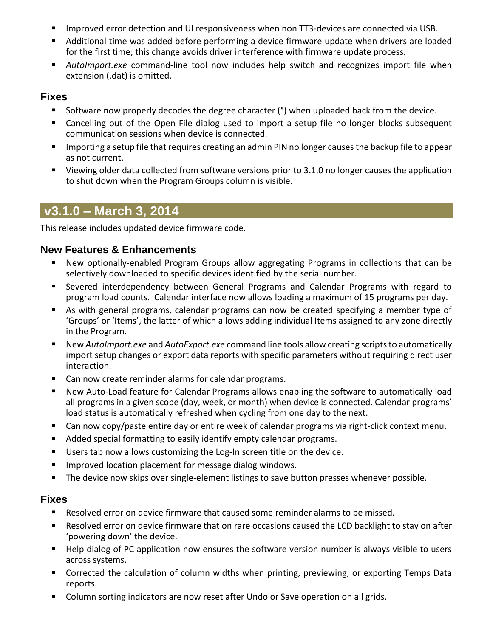- Improved error detection and UI responsiveness when non TT3-devices are connected via USB.
- Additional time was added before performing a device firmware update when drivers are loaded for the first time; this change avoids driver interference with firmware update process.
- *AutoImport.exe* command-line tool now includes help switch and recognizes import file when extension (.dat) is omitted.

- Software now properly decodes the degree character (<sup>o</sup>) when uploaded back from the device.
- Cancelling out of the Open File dialog used to import a setup file no longer blocks subsequent communication sessions when device is connected.
- **■** Importing a setup file that requires creating an admin PIN no longer causes the backup file to appear as not current.
- Viewing older data collected from software versions prior to 3.1.0 no longer causes the application to shut down when the Program Groups column is visible.

## **v3.1.0 – March 3, 2014**

This release includes updated device firmware code.

### **New Features & Enhancements**

- New optionally-enabled Program Groups allow aggregating Programs in collections that can be selectively downloaded to specific devices identified by the serial number.
- Severed interdependency between General Programs and Calendar Programs with regard to program load counts. Calendar interface now allows loading a maximum of 15 programs per day.
- As with general programs, calendar programs can now be created specifying a member type of 'Groups' or 'Items', the latter of which allows adding individual Items assigned to any zone directly in the Program.
- New *AutoImport.exe* and *AutoExport.exe* command line tools allow creating scripts to automatically import setup changes or export data reports with specific parameters without requiring direct user interaction.
- Can now create reminder alarms for calendar programs.
- New Auto-Load feature for Calendar Programs allows enabling the software to automatically load all programs in a given scope (day, week, or month) when device is connected. Calendar programs' load status is automatically refreshed when cycling from one day to the next.
- Can now copy/paste entire day or entire week of calendar programs via right-click context menu.
- Added special formatting to easily identify empty calendar programs.
- Users tab now allows customizing the Log-In screen title on the device.
- Improved location placement for message dialog windows.
- The device now skips over single-element listings to save button presses whenever possible.

- Resolved error on device firmware that caused some reminder alarms to be missed.
- Resolved error on device firmware that on rare occasions caused the LCD backlight to stay on after 'powering down' the device.
- Help dialog of PC application now ensures the software version number is always visible to users across systems.
- Corrected the calculation of column widths when printing, previewing, or exporting Temps Data reports.
- Column sorting indicators are now reset after Undo or Save operation on all grids.